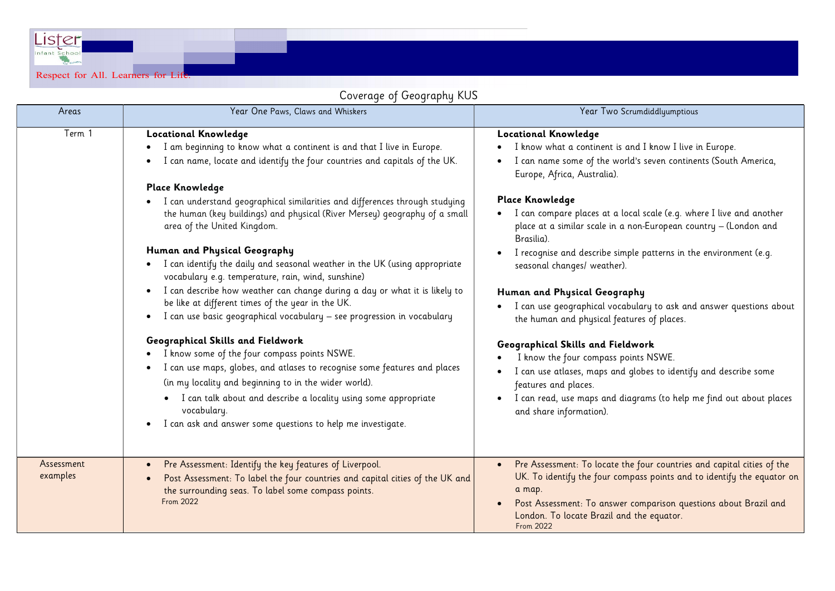Lister Respect for All. Learners for Life.

## Coverage of Geography KUS

| coverage of ocography noo |                                                                                                                                                                                                                                                                                                                                                                                                                                                                                                                                                                                                                                                                                                                                                                                                                      |                                                                                                                                                                                                                                                                                                                                                                                                                                                                                                                                                                                                                                       |  |  |
|---------------------------|----------------------------------------------------------------------------------------------------------------------------------------------------------------------------------------------------------------------------------------------------------------------------------------------------------------------------------------------------------------------------------------------------------------------------------------------------------------------------------------------------------------------------------------------------------------------------------------------------------------------------------------------------------------------------------------------------------------------------------------------------------------------------------------------------------------------|---------------------------------------------------------------------------------------------------------------------------------------------------------------------------------------------------------------------------------------------------------------------------------------------------------------------------------------------------------------------------------------------------------------------------------------------------------------------------------------------------------------------------------------------------------------------------------------------------------------------------------------|--|--|
| Areas                     | Year One Paws, Claws and Whiskers                                                                                                                                                                                                                                                                                                                                                                                                                                                                                                                                                                                                                                                                                                                                                                                    | Year Two Scrumdiddlyumptious                                                                                                                                                                                                                                                                                                                                                                                                                                                                                                                                                                                                          |  |  |
| Term 1                    | <b>Locational Knowledge</b><br>I am beginning to know what a continent is and that I live in Europe.<br>I can name, locate and identify the four countries and capitals of the UK.<br><b>Place Knowledge</b><br>I can understand geographical similarities and differences through studying<br>the human (key buildings) and physical (River Mersey) geography of a small<br>area of the United Kingdom.<br>Human and Physical Geography<br>I can identify the daily and seasonal weather in the UK (using appropriate<br>vocabulary e.g. temperature, rain, wind, sunshine)<br>I can describe how weather can change during a day or what it is likely to<br>$\bullet$<br>be like at different times of the year in the UK.<br>I can use basic geographical vocabulary - see progression in vocabulary<br>$\bullet$ | <b>Locational Knowledge</b><br>I know what a continent is and I know I live in Europe.<br>I can name some of the world's seven continents (South America,<br>Europe, Africa, Australia).<br><b>Place Knowledge</b><br>I can compare places at a local scale (e.g. where I live and another<br>place at a similar scale in a non-European country - (London and<br>Brasilia).<br>I recognise and describe simple patterns in the environment (e.g.<br>seasonal changes/ weather).<br>Human and Physical Geography<br>I can use geographical vocabulary to ask and answer questions about<br>the human and physical features of places. |  |  |
|                           | Geographical Skills and Fieldwork<br>I know some of the four compass points NSWE.<br>$\bullet$<br>I can use maps, globes, and atlases to recognise some features and places<br>$\bullet$<br>(in my locality and beginning to in the wider world).<br>I can talk about and describe a locality using some appropriate<br>vocabulary.<br>I can ask and answer some questions to help me investigate.<br>$\bullet$                                                                                                                                                                                                                                                                                                                                                                                                      | Geographical Skills and Fieldwork<br>I know the four compass points NSWE.<br>I can use atlases, maps and globes to identify and describe some<br>features and places.<br>I can read, use maps and diagrams (to help me find out about places<br>and share information).                                                                                                                                                                                                                                                                                                                                                               |  |  |
| Assessment<br>examples    | Pre Assessment: Identify the key features of Liverpool.<br>$\bullet$<br>Post Assessment: To label the four countries and capital cities of the UK and<br>$\bullet$<br>the surrounding seas. To label some compass points.<br><b>From 2022</b>                                                                                                                                                                                                                                                                                                                                                                                                                                                                                                                                                                        | Pre Assessment: To locate the four countries and capital cities of the<br>UK. To identify the four compass points and to identify the equator on<br>a map.<br>Post Assessment: To answer comparison questions about Brazil and<br>London. To locate Brazil and the equator.<br>From 2022                                                                                                                                                                                                                                                                                                                                              |  |  |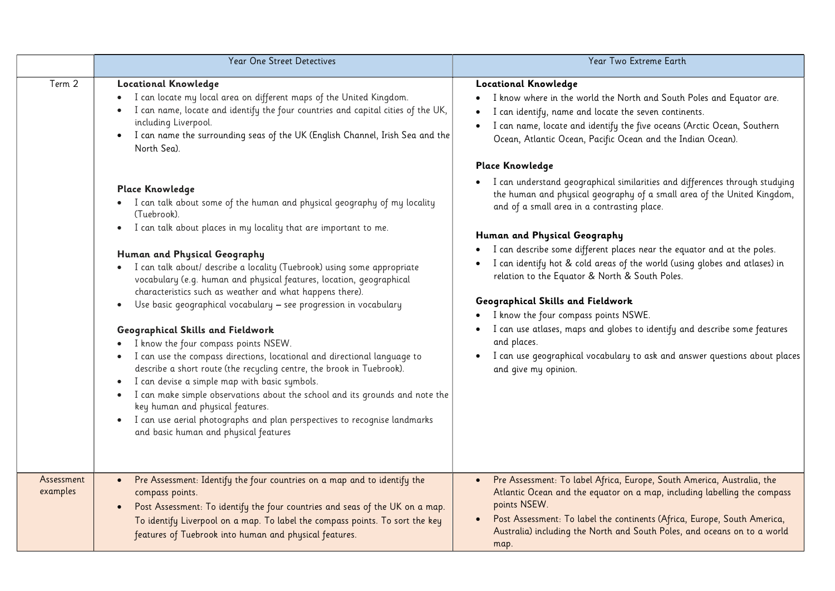|                        | Year One Street Detectives                                                                                                                                                                                                                                                                                                                                                                                                                                                                                                                                                                                                                                                                                                                                                                                                                                                                                                                                                                                                                                                                                                                                                                                                                                     | Year Two Extreme Earth                                                                                                                                                                                                                                                                                                                                                                                                                                                                                                                                                                                                                                                                                                                                                                                                                                                                                                                                                                                                                                              |
|------------------------|----------------------------------------------------------------------------------------------------------------------------------------------------------------------------------------------------------------------------------------------------------------------------------------------------------------------------------------------------------------------------------------------------------------------------------------------------------------------------------------------------------------------------------------------------------------------------------------------------------------------------------------------------------------------------------------------------------------------------------------------------------------------------------------------------------------------------------------------------------------------------------------------------------------------------------------------------------------------------------------------------------------------------------------------------------------------------------------------------------------------------------------------------------------------------------------------------------------------------------------------------------------|---------------------------------------------------------------------------------------------------------------------------------------------------------------------------------------------------------------------------------------------------------------------------------------------------------------------------------------------------------------------------------------------------------------------------------------------------------------------------------------------------------------------------------------------------------------------------------------------------------------------------------------------------------------------------------------------------------------------------------------------------------------------------------------------------------------------------------------------------------------------------------------------------------------------------------------------------------------------------------------------------------------------------------------------------------------------|
| Term 2                 | <b>Locational Knowledge</b><br>I can locate my local area on different maps of the United Kingdom.<br>I can name, locate and identify the four countries and capital cities of the UK,<br>including Liverpool.<br>I can name the surrounding seas of the UK (English Channel, Irish Sea and the<br>North Sea).<br><b>Place Knowledge</b><br>• I can talk about some of the human and physical geography of my locality<br>(Tuebrook).<br>I can talk about places in my locality that are important to me.<br>$\bullet$<br>Human and Physical Geography<br>I can talk about/ describe a locality (Tuebrook) using some appropriate<br>vocabulary (e.g. human and physical features, location, geographical<br>characteristics such as weather and what happens there).<br>Use basic geographical vocabulary - see progression in vocabulary<br>$\bullet$<br>Geographical Skills and Fieldwork<br>I know the four compass points NSEW.<br>I can use the compass directions, locational and directional language to<br>describe a short route (the recycling centre, the brook in Tuebrook).<br>I can devise a simple map with basic symbols.<br>I can make simple observations about the school and its grounds and note the<br>key human and physical features. | <b>Locational Knowledge</b><br>I know where in the world the North and South Poles and Equator are.<br>I can identify, name and locate the seven continents.<br>I can name, locate and identify the five oceans (Arctic Ocean, Southern<br>Ocean, Atlantic Ocean, Pacific Ocean and the Indian Ocean).<br><b>Place Knowledge</b><br>I can understand geographical similarities and differences through studying<br>the human and physical geography of a small area of the United Kingdom,<br>and of a small area in a contrasting place.<br>Human and Physical Geography<br>I can describe some different places near the equator and at the poles.<br>I can identify hot & cold areas of the world (using globes and atlases) in<br>relation to the Equator & North & South Poles.<br>Geographical Skills and Fieldwork<br>I know the four compass points NSWE.<br>I can use atlases, maps and globes to identify and describe some features<br>and places.<br>I can use geographical vocabulary to ask and answer questions about places<br>and give my opinion. |
| Assessment<br>examples | I can use aerial photographs and plan perspectives to recognise landmarks<br>$\bullet$<br>and basic human and physical features<br>Pre Assessment: Identify the four countries on a map and to identify the<br>compass points.<br>Post Assessment: To identify the four countries and seas of the UK on a map.                                                                                                                                                                                                                                                                                                                                                                                                                                                                                                                                                                                                                                                                                                                                                                                                                                                                                                                                                 | Pre Assessment: To label Africa, Europe, South America, Australia, the<br>Atlantic Ocean and the equator on a map, including labelling the compass<br>points NSEW.<br>Post Assessment: To label the continents (Africa, Europe, South America,                                                                                                                                                                                                                                                                                                                                                                                                                                                                                                                                                                                                                                                                                                                                                                                                                      |
|                        | To identify Liverpool on a map. To label the compass points. To sort the key<br>features of Tuebrook into human and physical features.                                                                                                                                                                                                                                                                                                                                                                                                                                                                                                                                                                                                                                                                                                                                                                                                                                                                                                                                                                                                                                                                                                                         | Australia) including the North and South Poles, and oceans on to a world<br>map.                                                                                                                                                                                                                                                                                                                                                                                                                                                                                                                                                                                                                                                                                                                                                                                                                                                                                                                                                                                    |